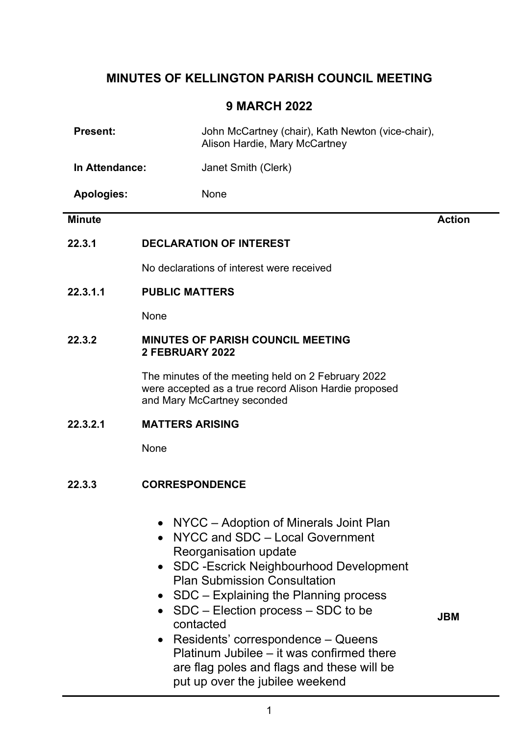# MINUTES OF KELLINGTON PARISH COUNCIL MEETING

# 9 MARCH 2022

| <b>Present:</b>   | John McCartney (chair), Kath Newton (vice-chair),<br>Alison Hardie, Mary McCartney                                                                                                                                                                                                                                                                                                                                           |               |  |
|-------------------|------------------------------------------------------------------------------------------------------------------------------------------------------------------------------------------------------------------------------------------------------------------------------------------------------------------------------------------------------------------------------------------------------------------------------|---------------|--|
| In Attendance:    | Janet Smith (Clerk)                                                                                                                                                                                                                                                                                                                                                                                                          |               |  |
| <b>Apologies:</b> | None                                                                                                                                                                                                                                                                                                                                                                                                                         |               |  |
| <b>Minute</b>     |                                                                                                                                                                                                                                                                                                                                                                                                                              | <b>Action</b> |  |
| 22.3.1            | <b>DECLARATION OF INTEREST</b>                                                                                                                                                                                                                                                                                                                                                                                               |               |  |
|                   | No declarations of interest were received                                                                                                                                                                                                                                                                                                                                                                                    |               |  |
| 22.3.1.1          | <b>PUBLIC MATTERS</b>                                                                                                                                                                                                                                                                                                                                                                                                        |               |  |
|                   | None                                                                                                                                                                                                                                                                                                                                                                                                                         |               |  |
| 22.3.2            | <b>MINUTES OF PARISH COUNCIL MEETING</b><br>2 FEBRUARY 2022                                                                                                                                                                                                                                                                                                                                                                  |               |  |
|                   | The minutes of the meeting held on 2 February 2022<br>were accepted as a true record Alison Hardie proposed<br>and Mary McCartney seconded                                                                                                                                                                                                                                                                                   |               |  |
| 22.3.2.1          | <b>MATTERS ARISING</b>                                                                                                                                                                                                                                                                                                                                                                                                       |               |  |
|                   | None                                                                                                                                                                                                                                                                                                                                                                                                                         |               |  |
| 22.3.3            | <b>CORRESPONDENCE</b>                                                                                                                                                                                                                                                                                                                                                                                                        |               |  |
|                   | NYCC – Adoption of Minerals Joint Plan<br>NYCC and SDC - Local Government<br>Reorganisation update<br><b>SDC-Escrick Neighbourhood Development</b><br><b>Plan Submission Consultation</b><br>• SDC – Explaining the Planning process<br>• $SDC$ – Election process – SDC to be<br>contacted<br>Residents' correspondence – Queens<br>Platinum Jubilee - it was confirmed there<br>are flag poles and flags and these will be | <b>JBM</b>    |  |

put up over the jubilee weekend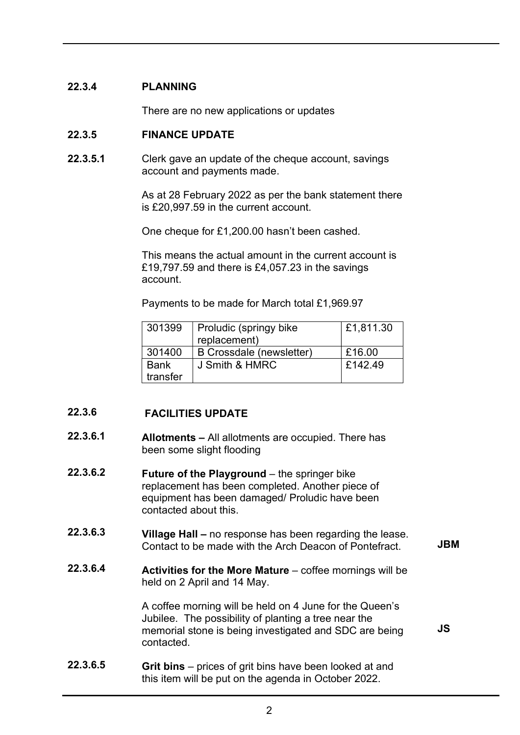### 22.3.4 PLANNING

There are no new applications or updates

#### 22.3.5 FINANCE UPDATE

22.3.5.1 Clerk gave an update of the cheque account, savings account and payments made.

> As at 28 February 2022 as per the bank statement there is £20,997.59 in the current account.

One cheque for £1,200.00 hasn't been cashed.

This means the actual amount in the current account is £19,797.59 and there is £4,057.23 in the savings account.

Payments to be made for March total £1,969.97

| 301399      | Proludic (springy bike<br>replacement) | £1,811.30 |
|-------------|----------------------------------------|-----------|
| 301400      | B Crossdale (newsletter)               | £16.00    |
| <b>Bank</b> | J Smith & HMRC                         | £142.49   |
| transfer    |                                        |           |

### 22.3.6 FACILITIES UPDATE

- 22.3.6.1 Allotments – All allotments are occupied. There has been some slight flooding
- 22.3.6.2 Future of the Playground – the springer bike replacement has been completed. Another piece of equipment has been damaged/ Proludic have been contacted about this.
- 22.3.6.3 Village Hall – no response has been regarding the lease. Contact to be made with the Arch Deacon of Pontefract. JBM
- 22.3.6.4 Activities for the More Mature  $-$  coffee mornings will be held on 2 April and 14 May.

A coffee morning will be held on 4 June for the Queen's Jubilee. The possibility of planting a tree near the memorial stone is being investigated and SDC are being contacted.

JS

22.3.6.5 Grit bins – prices of grit bins have been looked at and this item will be put on the agenda in October 2022.